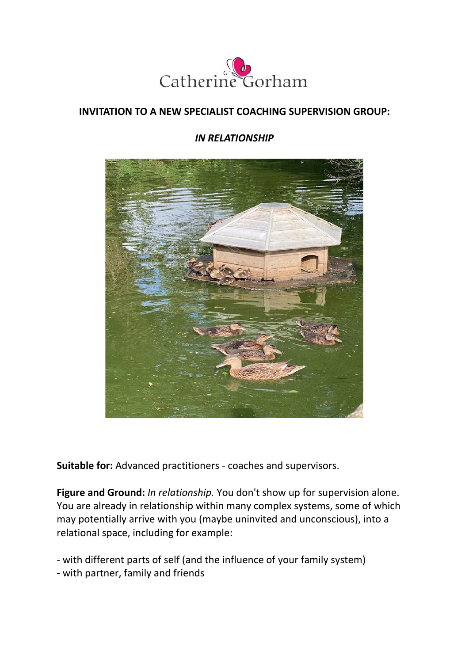

## **INVITATION TO A NEW SPECIALIST COACHING SUPERVISION GROUP:**

## *IN RELATIONSHIP*



**Suitable for:** Advanced practitioners - coaches and supervisors.

**Figure and Ground:** *In relationship.* You don't show up for supervision alone. You are already in relationship within many complex systems, some of which may potentially arrive with you (maybe uninvited and unconscious), into a relational space, including for example:

- with different parts of self (and the influence of your family system)
- with partner, family and friends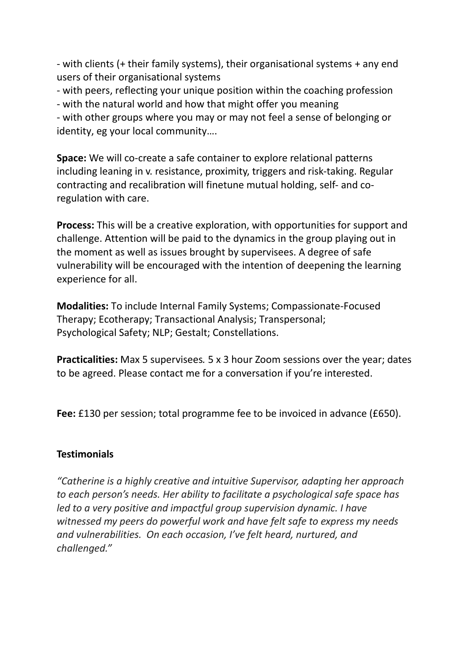- with clients (+ their family systems), their organisational systems + any end users of their organisational systems

- with peers, reflecting your unique position within the coaching profession

- with the natural world and how that might offer you meaning

- with other groups where you may or may not feel a sense of belonging or identity, eg your local community….

**Space:** We will co-create a safe container to explore relational patterns including leaning in v. resistance, proximity, triggers and risk-taking. Regular contracting and recalibration will finetune mutual holding, self- and coregulation with care.

**Process:** This will be a creative exploration, with opportunities for support and challenge. Attention will be paid to the dynamics in the group playing out in the moment as well as issues brought by supervisees. A degree of safe vulnerability will be encouraged with the intention of deepening the learning experience for all.

**Modalities:** To include Internal Family Systems; Compassionate-Focused Therapy; Ecotherapy; Transactional Analysis; Transpersonal; Psychological Safety; NLP; Gestalt; Constellations.

**Practicalities:** Max 5 supervisees*.* 5 x 3 hour Zoom sessions over the year; dates to be agreed. Please contact me for a conversation if you're interested.

**Fee:** £130 per session; total programme fee to be invoiced in advance (£650).

## **Testimonials**

*"Catherine is a highly creative and intuitive Supervisor, adapting her approach to each person's needs. Her ability to facilitate a psychological safe space has led to a very positive and impactful group supervision dynamic. I have witnessed my peers do powerful work and have felt safe to express my needs and vulnerabilities. On each occasion, I've felt heard, nurtured, and challenged."*